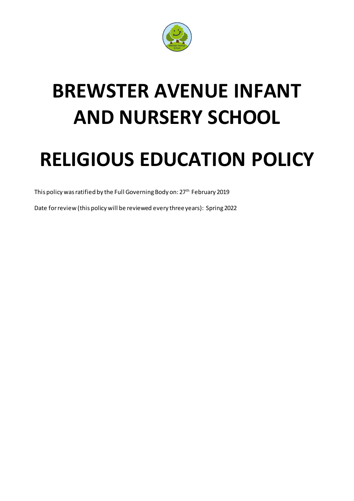

# **BREWSTER AVENUE INFANT AND NURSERY SCHOOL**

## **RELIGIOUS EDUCATION POLICY**

This policy was ratified by the Full Governing Body on: 27<sup>th</sup> February 2019

Date for review (this policy will be reviewed every three years): Spring 2022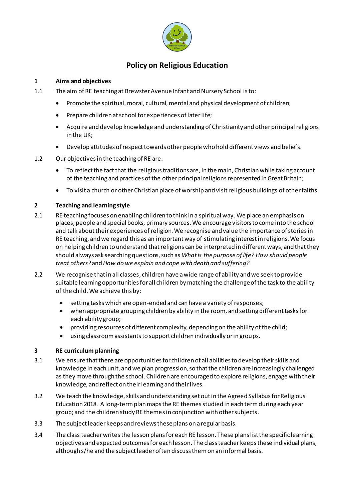

### **Policy on Religious Education**

#### **1 Aims and objectives**

- 1.1 The aim of RE teaching at Brewster Avenue Infant and Nursery School is to:
	- Promote the spiritual, moral, cultural, mental and physical development of children;
	- Prepare children at school for experiences of later life;
	- Acquire and develop knowledge and understanding of Christianity and other principal religions in the UK;
	- Develop attitudes of respect towards other people who hold different views and beliefs.
- 1.2 Our objectives in the teaching of RE are:
	- To reflect the fact that the religious traditions are, in the main, Christian while taking account of the teaching and practices of the other principal religions represented in Great Britain;
	- To visit a church or other Christian place of worship and visit religious buildings of other faiths.

#### **2 Teaching and learning style**

- 2.1 RE teaching focuses on enabling children to think in a spiritual way. We place an emphasis on places, people and special books, primary sources. We encourage visitors to come into the school and talk about their experiences of religion. We recognise and value the importance of stories in RE teaching, and we regard this as an important way of stimulating interest in religions. We focus on helping children to understand that religions can be interpreted in different ways, and that they should always ask searching questions, such as *What is the purpose of life? How should people treat others?* and *How do we explain and cope with death and suffering?*
- 2.2 We recognise that in all classes, children have a wide range of ability and we seek to provide suitable learning opportunities for all children by matching the challenge of the task to the ability of the child. We achieve this by:
	- setting tasks which are open-ended and can have a variety of responses;
	- when appropriate grouping children by ability in the room, and setting different tasks for each ability group;
	- providing resources of different complexity, depending on the ability of the child;
	- using classroom assistants to support children individually or in groups.

#### **3 RE curriculum planning**

- 3.1 We ensure that there are opportunities for children of all abilities to develop their skills and knowledge in each unit, and we plan progression, so that the children are increasingly challenged as they move through the school. Children are encouraged to explore religions, engage with their knowledge, and reflect on their learning and their lives.
- 3.2 We teach the knowledge, skills and understanding set out in the Agreed Syllabus for Religious Education 2018. A long-termplan maps the RE themesstudied in each term during each year group; and the children study RE themes in conjunction with other subjects.
- 3.3 The subject leader keeps and reviews these plans on a regular basis.
- 3.4 The class teacher writes the lesson plans for each RE lesson. These plans list the specific learning objectives and expected outcomes for each lesson. The class teacher keeps these individual plans, although s/he and the subject leader often discuss them on an informal basis.